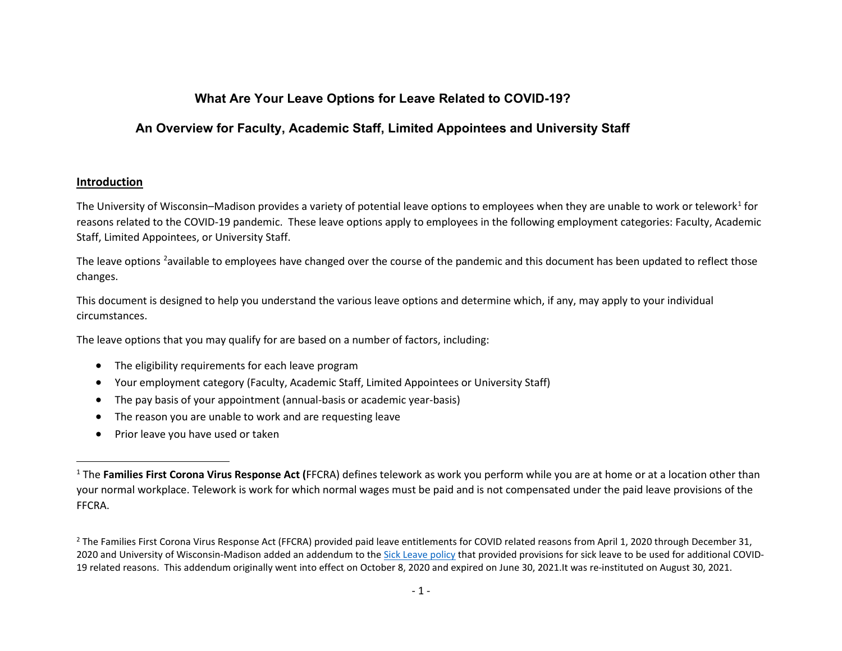# <span id="page-0-1"></span><span id="page-0-0"></span>**What Are Your Leave Options for Leave Related to COVID-19?**

# **An Overview for Faculty, Academic Staff, Limited Appointees and University Staff**

## **Introduction**

The University of Wisconsin–Madison provides a variety of potential leave options to employees when they are unable to work or telework<sup>[1](#page-0-0)</sup> for reasons related to the COVID-19 pandemic. These leave options apply to employees in the following employment categories: Faculty, Academic Staff, Limited Appointees, or University Staff.

The leave options <sup>[2](#page-0-1)</sup>available to employees have changed over the course of the pandemic and this document has been updated to reflect those changes.

This document is designed to help you understand the various leave options and determine which, if any, may apply to your individual circumstances.

The leave options that you may qualify for are based on a number of factors, including:

- The eligibility requirements for each leave program
- Your employment category (Faculty, Academic Staff, Limited Appointees or University Staff)
- The pay basis of your appointment (annual-basis or academic year-basis)
- The reason you are unable to work and are requesting leave
- Prior leave you have used or taken

<sup>&</sup>lt;sup>1</sup> The **Families First Corona Virus Response Act (FFCRA)** defines telework as work you perform while you are at home or at a location other than your normal workplace. Telework is work for which normal wages must be paid and is not compensated under the paid leave provisions of the FFCRA.

<sup>&</sup>lt;sup>2</sup> The Families First Corona Virus Response Act (FFCRA) provided paid leave entitlements for COVID related reasons from April 1, 2020 through December 31, 2020 and University of Wisconsin-Madison added an addendum to the [Sick Leave policy](https://kb.wisc.edu/ohr/policies/page.php?id=53366) that provided provisions for sick leave to be used for additional COVID-19 related reasons. This addendum originally went into effect on October 8, 2020 and expired on June 30, 2021.It was re-instituted on August 30, 2021.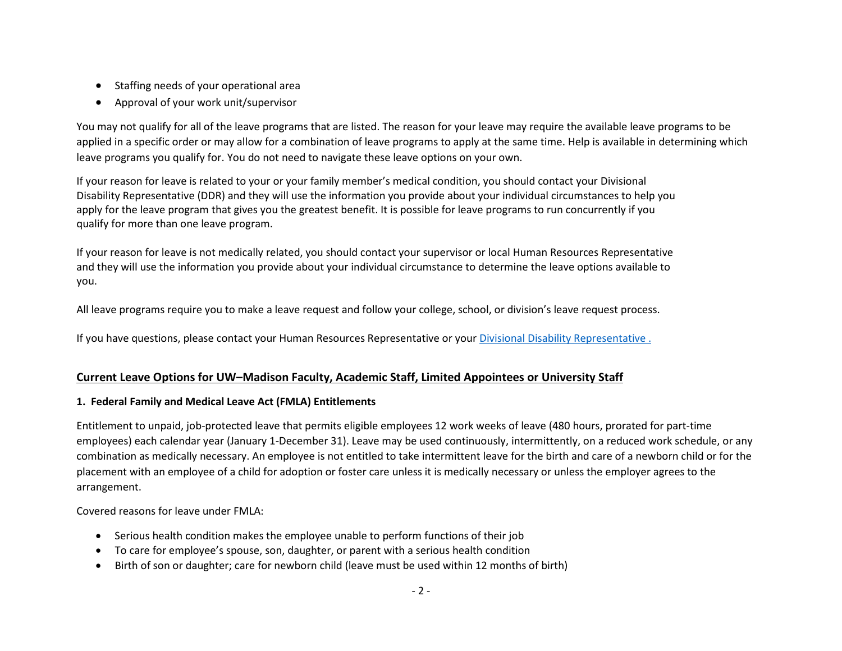- Staffing needs of your operational area
- Approval of your work unit/supervisor

You may not qualify for all of the leave programs that are listed. The reason for your leave may require the available leave programs to be applied in a specific order or may allow for a combination of leave programs to apply at the same time. Help is available in determining which leave programs you qualify for. You do not need to navigate these leave options on your own.

If your reason for leave is related to your or your family member's medical condition, you should contact your Divisional Disability Representative (DDR) and they will use the information you provide about your individual circumstances to help you apply for the leave program that gives you the greatest benefit. It is possible for leave programs to run concurrently if you qualify for more than one leave program.

If your reason for leave is not medically related, you should contact your supervisor or local Human Resources Representative and they will use the information you provide about your individual circumstance to determine the leave options available to you.

All leave programs require you to make a leave request and follow your college, school, or division's leave request process.

If you have questions, please contact you[r Human Resources Representative](https://hr.wisc.edu/contact) or you[r Divisional Disability Representative](https://employeedisabilities.wisc.edu/divisional-disability-representatives-ddr/) .

# **Current Leave Options for UW–Madison Faculty, Academic Staff, Limited Appointees or University Staff**

# **1. Federal Family and Medical Leave Act (FMLA) Entitlements**

Entitlement to unpaid, job-protected leave that permits eligible employees 12 work weeks of leave (480 hours, prorated for part-time employees) each calendar year (January 1-December 31). Leave may be used continuously, intermittently, on a reduced work schedule, or any combination as medically necessary. An employee is not entitled to take intermittent leave for the birth and care of a newborn child or for the placement with an employee of a child for adoption or foster care unless it is medically necessary or unless the employer agrees to the arrangement.

Covered reasons for leave under FMLA:

- Serious health condition makes the employee unable to perform functions of their job
- To care for employee's spouse, son, daughter, or parent with a serious health condition
- Birth of son or daughter; care for newborn child (leave must be used within 12 months of birth)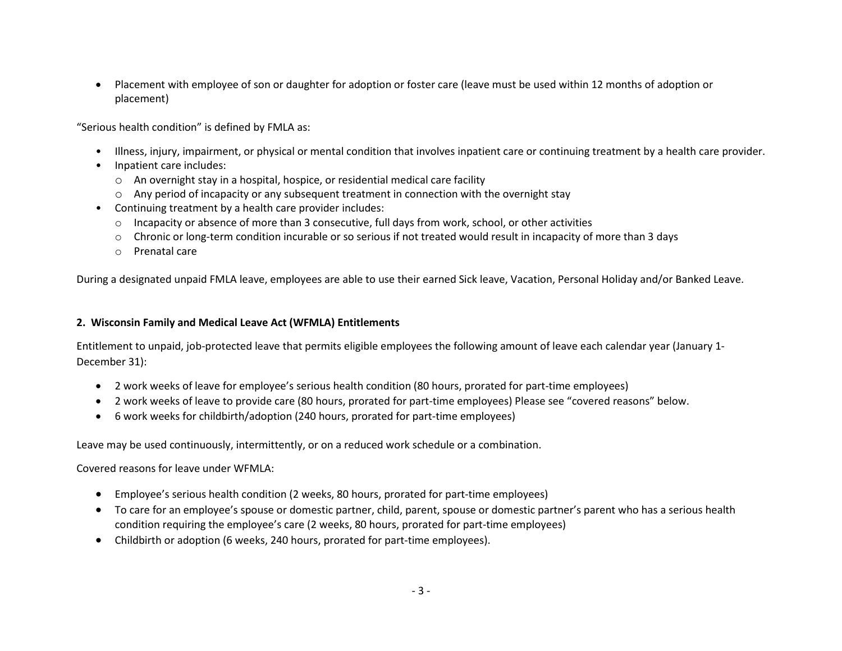• Placement with employee of son or daughter for adoption or foster care (leave must be used within 12 months of adoption or placement)

"Serious health condition" is defined by FMLA as:

- Illness, injury, impairment, or physical or mental condition that involves inpatient care or continuing treatment by a health care provider.
- Inpatient care includes:
	- o An overnight stay in a hospital, hospice, or residential medical care facility
	- o Any period of incapacity or any subsequent treatment in connection with the overnight stay
- Continuing treatment by a health care provider includes:
	- $\circ$  Incapacity or absence of more than 3 consecutive, full days from work, school, or other activities
	- o Chronic or long-term condition incurable or so serious if not treated would result in incapacity of more than 3 days
	- o Prenatal care

During a designated unpaid FMLA leave, employees are able to use their earned Sick leave, Vacation, Personal Holiday and/or Banked Leave.

#### **2. Wisconsin Family and Medical Leave Act (WFMLA) Entitlements**

Entitlement to unpaid, job-protected leave that permits eligible employees the following amount of leave each calendar year (January 1- December 31):

- 2 work weeks of leave for employee's serious health condition (80 hours, prorated for part-time employees)
- 2 work weeks of leave to provide care (80 hours, prorated for part-time employees) Please see "covered reasons" below.
- 6 work weeks for childbirth/adoption (240 hours, prorated for part-time employees)

Leave may be used continuously, intermittently, or on a reduced work schedule or a combination.

Covered reasons for leave under WFMLA:

- Employee's serious health condition (2 weeks, 80 hours, prorated for part-time employees)
- To care for an employee's spouse or domestic partner, child, parent, spouse or domestic partner's parent who has a serious health condition requiring the employee's care (2 weeks, 80 hours, prorated for part-time employees)
- Childbirth or adoption (6 weeks, 240 hours, prorated for part-time employees).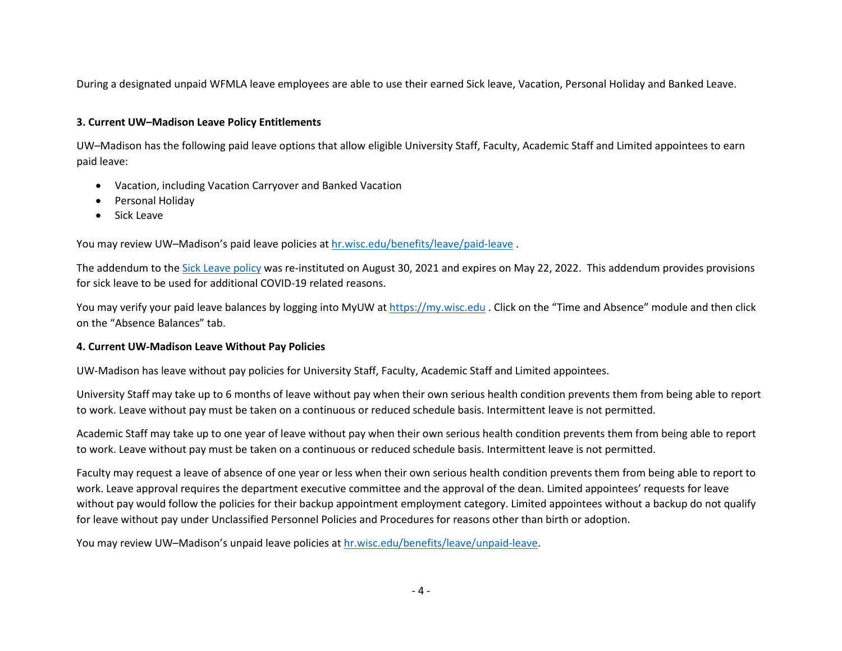During a designated unpaid WFMLA leave employees are able to use their earned Sick leave, Vacation, Personal Holiday and Banked Leave.

### **3. Current UW–Madison Leave Policy Entitlements**

UW–Madison has the following paid leave options that allow eligible University Staff, Faculty, Academic Staff and Limited appointees to earn paid leave:

- Vacation, including Vacation Carryover and Banked Vacation
- Personal Holiday
- Sick Leave

You may review UW–Madison's paid leave policies at [hr.wisc.edu/benefits/leave/paid-leave](https://hr.wisc.edu/benefits/leave/paid-leave/).

The addendum to th[e Sick Leave policy](https://kb.wisc.edu/ohr/policies/page.php?id=53366) was re-instituted on August 30, 2021 and expires on May 22, 2022. This addendum provides provisions for sick leave to be used for additional COVID-19 related reasons.

You may verify your paid leave balances by logging into MyUW at [https://my.wisc.edu](https://my.wisc.edu/) . Click on the "Time and Absence" module and then click on the "Absence Balances" tab.

#### **4. Current UW-Madison Leave Without Pay Policies**

UW-Madison has leave without pay policies for University Staff, Faculty, Academic Staff and Limited appointees.

University Staff may take up to 6 months of leave without pay when their own serious health condition prevents them from being able to report to work. Leave without pay must be taken on a continuous or reduced schedule basis. Intermittent leave is not permitted.

Academic Staff may take up to one year of leave without pay when their own serious health condition prevents them from being able to report to work. Leave without pay must be taken on a continuous or reduced schedule basis. Intermittent leave is not permitted.

Faculty may request a leave of absence of one year or less when their own serious health condition prevents them from being able to report to work. Leave approval requires the department executive committee and the approval of the dean. Limited appointees' requests for leave without pay would follow the policies for their backup appointment employment category. Limited appointees without a backup do not qualify for leave without pay under Unclassified Personnel Policies and Procedures for reasons other than birth or adoption.

You may review UW–Madison's unpaid leave policies at [hr.wisc.edu/benefits/leave/unpaid-leave.](https://hr.wisc.edu/benefits/leave/unpaid-leave/)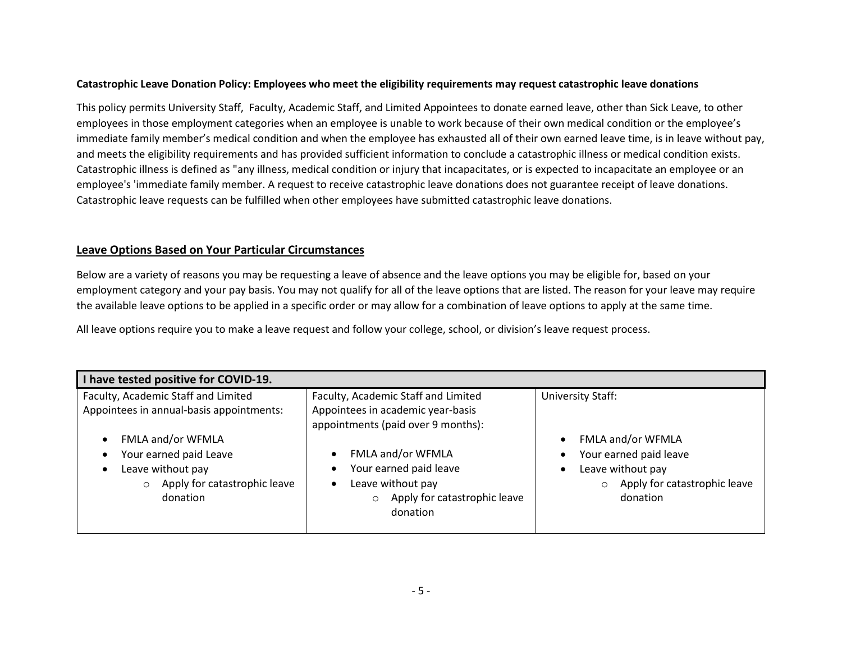#### **Catastrophic Leave Donation Policy: Employees who meet the eligibility requirements may request catastrophic leave donations**

This policy permits University Staff, Faculty, Academic Staff, and Limited Appointees to donate earned leave, other than Sick Leave, to other employees in those employment categories when an employee is unable to work because of their own medical condition or the employee's immediate family member's medical condition and when the employee has exhausted all of their own earned leave time, is in leave without pay, and meets the eligibility requirements and has provided sufficient information to conclude a catastrophic illness or medical condition exists. Catastrophic illness is defined as "any illness, medical condition or injury that incapacitates, or is expected to incapacitate an employee or an employee's 'immediate family member. A request to receive catastrophic leave donations does not guarantee receipt of leave donations. Catastrophic leave requests can be fulfilled when other employees have submitted catastrophic leave donations.

#### **Leave Options Based on Your Particular Circumstances**

Below are a variety of reasons you may be requesting a leave of absence and the leave options you may be eligible for, based on your employment category and your pay basis. You may not qualify for all of the leave options that are listed. The reason for your leave may require the available leave options to be applied in a specific order or may allow for a combination of leave options to apply at the same time.

All leave options require you to make a leave request and follow your college, school, or division's leave request process.

| have tested positive for COVID-19.                                                                                      |                                                                                                                         |                                                                                                                         |
|-------------------------------------------------------------------------------------------------------------------------|-------------------------------------------------------------------------------------------------------------------------|-------------------------------------------------------------------------------------------------------------------------|
| Faculty, Academic Staff and Limited<br>Appointees in annual-basis appointments:                                         | Faculty, Academic Staff and Limited<br>Appointees in academic year-basis<br>appointments (paid over 9 months):          | <b>University Staff:</b>                                                                                                |
| FMLA and/or WFMLA<br>Your earned paid Leave<br>Leave without pay<br>Apply for catastrophic leave<br>$\circ$<br>donation | FMLA and/or WFMLA<br>Your earned paid leave<br>Leave without pay<br>Apply for catastrophic leave<br>$\circ$<br>donation | FMLA and/or WFMLA<br>Your earned paid leave<br>Leave without pay<br>Apply for catastrophic leave<br>$\circ$<br>donation |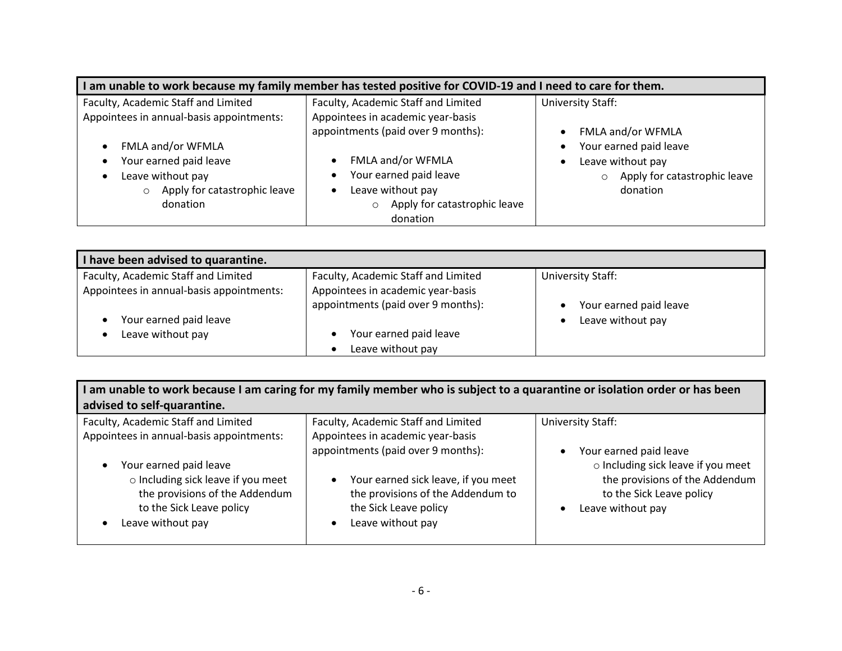| I am unable to work because my family member has tested positive for COVID-19 and I need to care for them.              |                                                                                                                                                    |                                                                                                                         |
|-------------------------------------------------------------------------------------------------------------------------|----------------------------------------------------------------------------------------------------------------------------------------------------|-------------------------------------------------------------------------------------------------------------------------|
| Faculty, Academic Staff and Limited<br>Appointees in annual-basis appointments:                                         | Faculty, Academic Staff and Limited<br>Appointees in academic year-basis                                                                           | <b>University Staff:</b>                                                                                                |
| FMLA and/or WFMLA<br>Your earned paid leave<br>Leave without pay<br>Apply for catastrophic leave<br>$\circ$<br>donation | appointments (paid over 9 months):<br>FMLA and/or WFMLA<br>Your earned paid leave<br>Leave without pay<br>Apply for catastrophic leave<br>donation | FMLA and/or WFMLA<br>Your earned paid leave<br>Leave without pay<br>Apply for catastrophic leave<br>$\circ$<br>donation |

| I have been advised to quarantine.       |                                                                         |                        |
|------------------------------------------|-------------------------------------------------------------------------|------------------------|
| Faculty, Academic Staff and Limited      | Faculty, Academic Staff and Limited                                     | University Staff:      |
| Appointees in annual-basis appointments: | Appointees in academic year-basis<br>appointments (paid over 9 months): | Your earned paid leave |
| Your earned paid leave                   |                                                                         | Leave without pay      |
| Leave without pay                        | Your earned paid leave                                                  |                        |
|                                          | Leave without pay                                                       |                        |

| I am unable to work because I am caring for my family member who is subject to a quarantine or isolation order or has been<br>advised to self-quarantine.                                   |                                                                                                                                                                                                                |                                                                                                                                                 |
|---------------------------------------------------------------------------------------------------------------------------------------------------------------------------------------------|----------------------------------------------------------------------------------------------------------------------------------------------------------------------------------------------------------------|-------------------------------------------------------------------------------------------------------------------------------------------------|
| Faculty, Academic Staff and Limited                                                                                                                                                         | Faculty, Academic Staff and Limited                                                                                                                                                                            | University Staff:                                                                                                                               |
| Appointees in annual-basis appointments:<br>Your earned paid leave<br>o Including sick leave if you meet<br>the provisions of the Addendum<br>to the Sick Leave policy<br>Leave without pay | Appointees in academic year-basis<br>appointments (paid over 9 months):<br>Your earned sick leave, if you meet<br>$\bullet$<br>the provisions of the Addendum to<br>the Sick Leave policy<br>Leave without pay | Your earned paid leave<br>o Including sick leave if you meet<br>the provisions of the Addendum<br>to the Sick Leave policy<br>Leave without pay |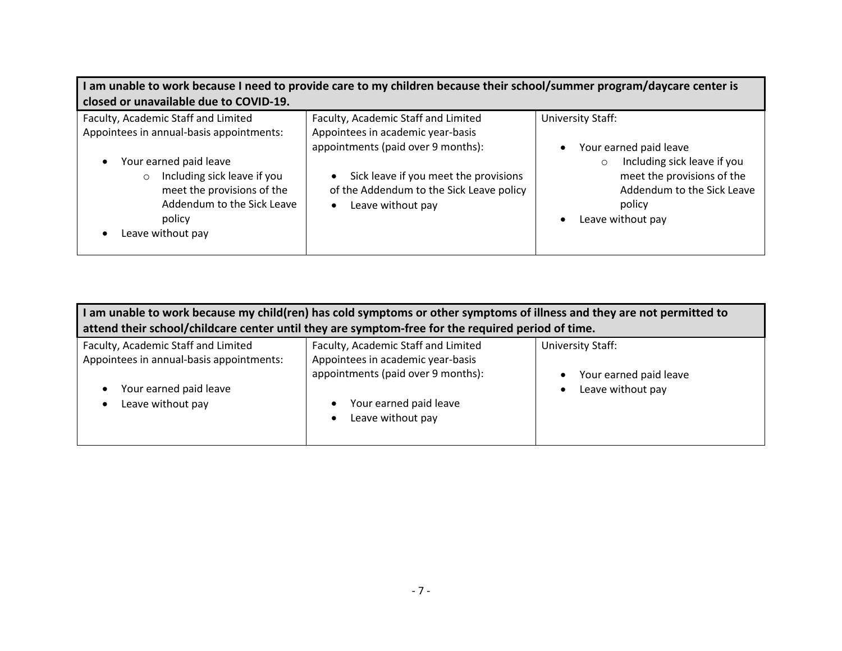| I am unable to work because I need to provide care to my children because their school/summer program/daycare center is<br>closed or unavailable due to COVID-19.                                                                              |                                                                                                                                                                                                                          |                                                                                                                                                                                  |
|------------------------------------------------------------------------------------------------------------------------------------------------------------------------------------------------------------------------------------------------|--------------------------------------------------------------------------------------------------------------------------------------------------------------------------------------------------------------------------|----------------------------------------------------------------------------------------------------------------------------------------------------------------------------------|
| Faculty, Academic Staff and Limited<br>Appointees in annual-basis appointments:<br>Your earned paid leave<br>Including sick leave if you<br>$\circ$<br>meet the provisions of the<br>Addendum to the Sick Leave<br>policy<br>Leave without pay | Faculty, Academic Staff and Limited<br>Appointees in academic year-basis<br>appointments (paid over 9 months):<br>Sick leave if you meet the provisions<br>of the Addendum to the Sick Leave policy<br>Leave without pay | University Staff:<br>Your earned paid leave<br>Including sick leave if you<br>$\circ$<br>meet the provisions of the<br>Addendum to the Sick Leave<br>policy<br>Leave without pay |

| am unable to work because my child(ren) has cold symptoms or other symptoms of illness and they are not permitted to |                                                                         |                          |
|----------------------------------------------------------------------------------------------------------------------|-------------------------------------------------------------------------|--------------------------|
| attend their school/childcare center until they are symptom-free for the required period of time.                    |                                                                         |                          |
| Faculty, Academic Staff and Limited                                                                                  | Faculty, Academic Staff and Limited                                     | <b>University Staff:</b> |
| Appointees in annual-basis appointments:                                                                             | Appointees in academic year-basis<br>appointments (paid over 9 months): | Your earned paid leave   |
| Your earned paid leave<br>Leave without pay                                                                          | Your earned paid leave                                                  | Leave without pay<br>٠   |
|                                                                                                                      | Leave without pay                                                       |                          |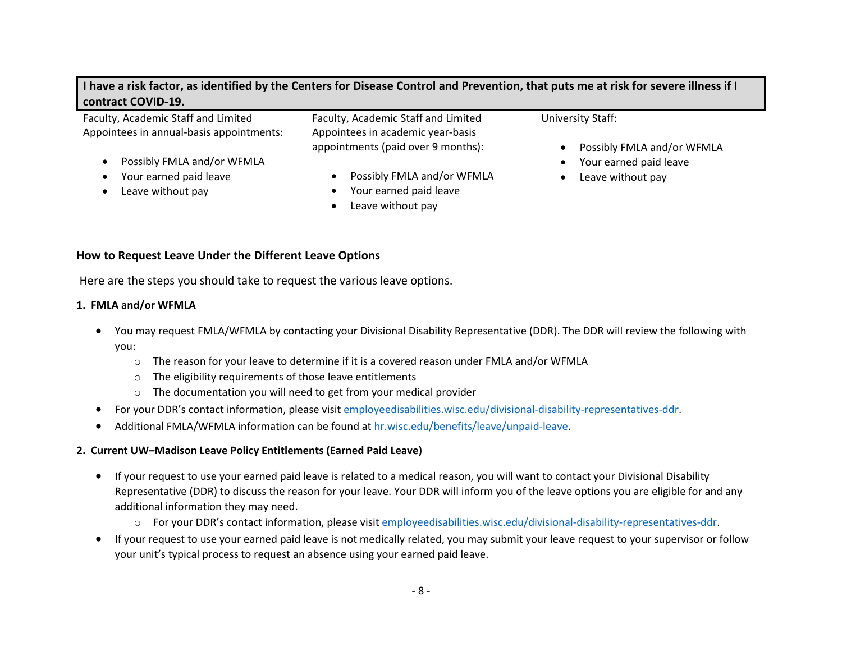**I have a risk factor, as identified by the Centers for Disease Control and Prevention, that puts me at risk for severe illness if I contract COVID-19.**

| Faculty, Academic Staff and Limited                                                                                   | Faculty, Academic Staff and Limited                                                                                                                  | University Staff:                                                         |
|-----------------------------------------------------------------------------------------------------------------------|------------------------------------------------------------------------------------------------------------------------------------------------------|---------------------------------------------------------------------------|
| Appointees in annual-basis appointments:<br>Possibly FMLA and/or WFMLA<br>Your earned paid leave<br>Leave without pay | Appointees in academic year-basis<br>appointments (paid over 9 months):<br>Possibly FMLA and/or WFMLA<br>Your earned paid leave<br>Leave without pay | Possibly FMLA and/or WFMLA<br>Your earned paid leave<br>Leave without pay |

## **How to Request Leave Under the Different Leave Options**

Here are the steps you should take to request the various leave options.

## **1. FMLA and/or WFMLA**

- You may request FMLA/WFMLA by contacting your Divisional Disability Representative (DDR). The DDR will review the following with you:
	- o The reason for your leave to determine if it is a covered reason under FMLA and/or WFMLA
	- $\circ$  The eligibility requirements of those leave entitlements
	- o The documentation you will need to get from your medical provider
- For your DDR's contact information, please visit employeedisabilities.wisc.edu/divisional-disability-representatives-ddr.
- Additional FMLA/WFMLA information can be found at [hr.wisc.edu/benefits/leave/unpaid-leave.](https://hr.wisc.edu/benefits/leave/unpaid-leave/)

#### **2. Current UW–Madison Leave Policy Entitlements (Earned Paid Leave)**

- If your request to use your earned paid leave is related to a medical reason, you will want to contact your Divisional Disability Representative (DDR) to discuss the reason for your leave. Your DDR will inform you of the leave options you are eligible for and any additional information they may need.
	- o For your DDR's contact information, please visit employeedisabilities.wisc.edu/divisional-disability-representatives-ddr.
- If your request to use your earned paid leave is not medically related, you may submit your leave request to your supervisor or follow your unit's typical process to request an absence using your earned paid leave.